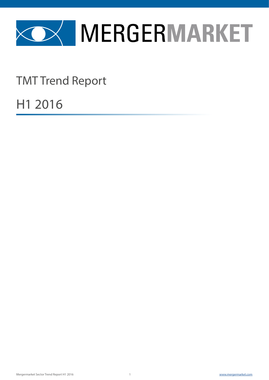

TMT Trend Report

H1 2016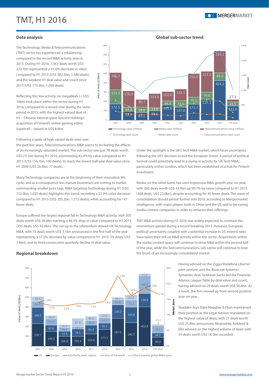**Data analysis**

2013 (US\$ 173.5bn, 1,056 deals).

Supercell – valued at US\$ 8.6bn.

The Technology, Media & Telecommunications (TMT) sector has experienced a rebalancing compared to the record M&A activity seen in 2015. During H1 2016, 1,363 deals worth US\$ 223.1bn represented a 41.6% decrease in value compared to H1 2015 (US\$ 382.3bn, 1,580 deals), and the weakest H1 deal value and count since

#### **Global sub-sector trend**



Following a spate of high valued deals seen over

Reflecting this low activity, no megadeals (< US\$ 10bn) took place within the sector during H1

period in 2015, with the highest valued deal of H1 – Chinese Internet giant Tencent Holding's acquisition of Finland's online gaming editor

the past few years, Telecommunications M&A seems to be feeling the effects of an increasingly saturated market. The sub-sector saw just 78 deals worth US\$ 27.1bn during H1 2016, plummeting 82.4% by value compared to H1 2015 (US\$ 154.1bn, 100 deals), to reach the lowest half-year deal value since H1 2009 (US\$ 26.9bn, 77 deals).

Many Technology companies are at the beginning of their innovation life cycle, and as a consequence less mature businesses are coming to market commanding smaller price tags. M&A targeting Technology during H1 (US\$ 152.0bn, 1,025 deals) highlights this trend, recording a 25.9% value decrease compared to H1 2015 (US\$ 205.2bn, 1,172 deals), while accounting for 147 fewer deals.

Europe suffered the largest regional fall in Technology M&A activity, with 305 deals worth US\$ 24.0bn marking a 44.3% drop in value compared to H1 2015 (355 deals, US\$ 43.0bn). The run up to the referendum slowed UK Technology M&A, with 75 deals worth US\$ 3.1bn announced in the first half of the year representing a 57.5% decrease by value compared to H1 2015 (74 deals, US\$ 7.4bn), and its third consecutive quarterly decline in deal value.

Under the spotlight is the UK's Tech M&A market, which faces uncertainty following the UK's decision to exit the European Union. A period of political turmoil could potentially lead to a slump in activity for UK Tech M&A, particularly within London, which has been established as a hub for Fintech investment.

Media, on the other hand, has seen impressive M&A growth year-on-year, with 260 deals worth US\$ 43.9bn up 90.7% by value compared to H1 2015 (308 deals, US\$ 23.0bn), despite accounting for 45 fewer deals. This wave of consolidation should persist further into 2016, according to Mergermarket intelligence, with major players both in China and the US said to be eyeing media content companies in order to enhance their offerings.

TMT M&A activity during H1 2016 was widely expected to continue the momentum gained during a record-breaking 2015. However, European political uncertainty coupled with a potential increase in US interest rates have taken their toll on M&A activity within the sector. Acquisitions within the media content space will continue to drive M&A within the second half of the year, while the Telecommunications sub-sector will continue to bear the brunt of an increasingly consolidated market.

> Having advised on the Ziggo/Vodafone Libertel joint venture, and the Bluecoat Systems/ Symantec deal, Goldman Sachs led the Financial Advisor League Table by deal value and count, having advised on 29 deals worth US\$ 50.8bn. As a result, the firm moved up from second position year-on-year.

> Skadden Arps Slate Meagher & Flom maintained their position as the Legal Advisor mandated on the highest value of deals, with 27 deals worth US\$ 25.8bn announced. Meanwhile, Kirkland & Ellis advised on the highest volume of deals with 59 deals worth US\$ 18.0bn recorded.

### **Regional breakdown**

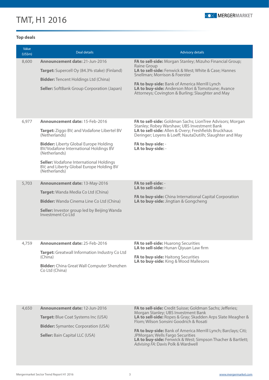

### **Top deals**

| Value<br>(US\$m) | Deal details                                                                                                                                                                                                                                                                                                           | <b>Advisory details</b>                                                                                                                                                                                                                                                                                                      |
|------------------|------------------------------------------------------------------------------------------------------------------------------------------------------------------------------------------------------------------------------------------------------------------------------------------------------------------------|------------------------------------------------------------------------------------------------------------------------------------------------------------------------------------------------------------------------------------------------------------------------------------------------------------------------------|
| 8,600            | <b>Announcement date: 21-Jun-2016</b><br>Target: Supercell Oy (84.3% stake) (Finland)<br><b>Bidder:</b> Tencent Holdings Ltd (China)<br><b>Seller:</b> SoftBank Group Corporation (Japan)                                                                                                                              | FA to sell-side: Morgan Stanley; Mizuho Financial Group;<br>Raine Group<br>LA to sell-side: Fenwick & West; White & Case; Hannes<br>Snellman; Morrison & Foerster<br>FA to buy-side: Bank of America Merrill Lynch<br>LA to buy-side: Anderson Mori & Tomotsune; Avance<br>Attorneys; Covington & Burling; Slaughter and May |
| 6,977            | Announcement date: 15-Feb-2016<br>Target: Ziggo BV; and Vodafone Libertel BV<br>(Netherlands)<br><b>Bidder:</b> Liberty Global Europe Holding<br>BV/Vodafone International Holdings BV<br>(Netherlands)<br><b>Seller:</b> Vodafone International Holdings<br>BV; and Liberty Global Europe Holding BV<br>(Netherlands) | FA to sell-side: Goldman Sachs; LionTree Advisors; Morgan<br>Stanley; Robey Warshaw; UBS Investment Bank<br>LA to sell-side: Allen & Overy; Freshfields Bruckhaus<br>Deringer; Loyens & Loeff; NautaDutilh; Slaughter and May<br>FA to buy-side: -<br>LA to buy-side: -                                                      |
| 5,703            | Announcement date: 13-May-2016<br>Target: Wanda Media Co Ltd (China)<br><b>Bidder:</b> Wanda Cinema Line Co Ltd (China)<br><b>Seller:</b> Investor group led by Beijing Wanda<br>Investment Co Ltd                                                                                                                     | FA to sell-side: -<br>LA to sell-side: -<br>FA to buy-side: China International Capital Corporation<br>LA to buy-side: Jingtian & Gongcheng                                                                                                                                                                                  |
| 4,759            | Announcement date: 25-Feb-2016<br>Target: Greatwall Information Industry Co Ltd<br>(China)<br><b>Bidder:</b> China Great Wall Computer Shenzhen<br>Co Ltd (China)                                                                                                                                                      | FA to sell-side: Huarong Securities<br><b>LA to sell-side:</b> Hunan Qiyuan Law firm<br>FA to buy-side: Haitong Securities<br>LA to buy-side: King & Wood Mallesons                                                                                                                                                          |
| 4,650            | Announcement date: 12-Jun-2016                                                                                                                                                                                                                                                                                         | FA to sell-side: Credit Suisse; Goldman Sachs; Jefferies;                                                                                                                                                                                                                                                                    |

**Target:** Blue Coat Systems Inc (USA)

**Bidder:** Symantec Corporation (USA)

**Seller:** Bain Capital LLC (USA)

Morgan Stanley; UBS Investment Bank **LA to sell-side:** Ropes & Gray; Skadden Arps Slate Meagher & Flom; Wilson Sonsini Goodrich & Rosati

**FA to buy-side:** Bank of America Merrill Lynch; Barclays; Citi; JPMorgan; Wells Fargo Securities **LA to buy-side:** Fenwick & West; Simpson Thacher & Bartlett; *Advising FA:* Davis Polk & Wardwell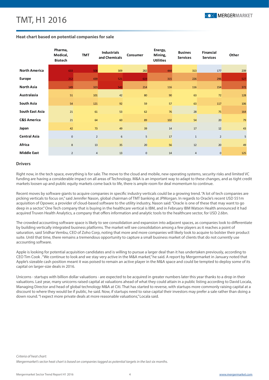

### **Heat chart based on potential companies for sale**

|                        | Pharma,<br>Medical,<br><b>Biotech</b> | <b>TMT</b>     | <b>Industrials</b><br>and Chemicals | Consumer        | Energy,<br>Mining,<br><b>Utilities</b> | <b>Busines</b><br><b>Services</b> | <b>Financial</b><br><b>Services</b> | Other |
|------------------------|---------------------------------------|----------------|-------------------------------------|-----------------|----------------------------------------|-----------------------------------|-------------------------------------|-------|
| <b>North America</b>   | 633                                   | 508            | 309                                 | 282             | 444                                    | 313                               | 177                                 | 239   |
| <b>Europe</b>          | 212                                   | 439            | 521                                 | 619             | 315                                    | 226                               | 296                                 | 527   |
| <b>North Asia</b>      | 149                                   | 323            | 543                                 | 214             | 116                                    | 116                               | 154                                 | 372   |
| Australasia            | 51                                    | 101            | 42                                  | 80              | 90                                     | 63                                | 72                                  | 128   |
| South Asia             | 54                                    | 121            | 92                                  | 59              | 57                                     | 63                                | 117                                 | 106   |
| South East Asia        | 21                                    | 61             | 53                                  | 62              | 76                                     | 28                                | 75                                  | 164   |
| <b>C&amp;S America</b> | 21                                    | 64             | 60                                  | 89              | 102                                    | 54                                | 20                                  | 79    |
| Japan                  | 42                                    | 73             | 49                                  | 39              | 14                                     | 17                                | 12                                  | 43    |
| <b>Central Asia</b>    | $\mathsf 0$                           | $\overline{2}$ | 6                                   | 5 <sup>5</sup>  | 17                                     | $\mathbf 1$                       | $\overline{2}$                      | 5     |
| Africa                 | 8                                     | 13             | 35                                  | 20 <sup>°</sup> | 56                                     | 12                                | 20                                  | 49    |
| <b>Middle East</b>     | $\overline{2}$                        | $\overline{4}$ | 13                                  | $\mathbf 0$     | 14                                     | $\overline{4}$                    | $\overline{0}$                      | 125   |

#### **Drivers**

Right now, in the tech space, everything is for sale. The move to the cloud and mobile, new operating systems, security risks and limited VC funding are having a considerable impact on all areas of Technology. M&A is an important way to adapt to these changes, and as tight credit markets loosen up and public equity markets come back to life, there is ample room for deal momentum to continue.

Recent moves by software giants to acquire companies in specific industry verticals could be a growing trend. "A lot of tech companies are picking verticals to focus on," said Jennifer Nason, global chairman of TMT banking at JPMorgan. In regards to Oracle's recent USD 551m acquisition of Opower, a provider of cloud-based software to the utility industry, Nason said: "Oracle is one of these that may want to go deep in a sector." One Tech company that is buying in the healthcare vertical is IBM, and in February IBM Watson Health announced it had acquired Truven Health Analytics, a company that offers information and analytic tools to the healthcare sector, for USD 2.6bn.

The crowded accounting software space is likely to see consolidation and expansion into adjacent spaces, as companies look to differentiate by building vertically integrated business platforms. The market will see consolidation among a few players as it reaches a point of saturation, said Sridhar Vembu, CEO of Zoho Corp, noting that more and more companies will likely look to acquire to bolster their product suite. Until that time, there remains a tremendous opportunity to capture a small business market of clients that do not currently use accounting software.

Apple is looking for potential acquisition candidates and is willing to pursue a larger deal than it has undertaken previously, according to CEO Tim Cook . "We continue to look and we stay very active in the M&A market," he said. A report by Mergermarket in January noted that Apple's sizeable cash position meant it was poised to remain an active player in the M&A space and could be tempted to deploy some of its capital on larger-size deals in 2016.

Unicorns - startups with billion dollar valuations - are expected to be acquired in greater numbers later this year thanks to a drop in their valuations. Last year, many unicorns raised capital at valuations ahead of what they could attain in a public listing according to David Locala, Managing Director and head of global technology M&A at Citi. That has started to reverse, with startups more commonly raising capital at a discount to where they would be if public, he said. Now, if startups need to raise capital their investors may prefer a sale rather than doing a down round. "I expect more private deals at more reasonable valuations," Locala said.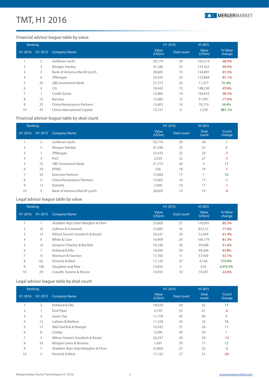

## Financial advisor league table by value

| Ranking             |                     |                               | H1 2016         |            | H1 2015         |                   |  |
|---------------------|---------------------|-------------------------------|-----------------|------------|-----------------|-------------------|--|
| H <sub>1</sub> 2016 | H <sub>1</sub> 2015 | Company Name                  | Value<br>(US5m) | Deal count | Value<br>(US5m) | % Value<br>change |  |
|                     | $\overline{2}$      | Goldman Sachs                 | 50,774          | 29         | 163,214         | $-68.9%$          |  |
| $\overline{2}$      | 5                   | Morgan Stanley                | 41,246          | 25         | 135,422         | $-69.5%$          |  |
| 3                   | 3                   | Bank of America Merrill Lynch | 28,605          | 15         | 154,891         | $-81.5%$          |  |
| 4                   | 6                   | JPMorgan                      | 23,435          | 22         | 123,864         | $-81.1%$          |  |
| 5                   | 24                  | <b>UBS Investment Bank</b>    | 21,772          | 20         | 11,377          | 91.4%             |  |
| 6                   | 4                   | Citi                          | 18,442          | 13         | 148,230         | $-87.6%$          |  |
| 7                   |                     | Credit Suisse                 | 15,885          | 14         | 164,053         | $-90.3%$          |  |
| 8                   | 12                  | <b>Barclays</b>               | 15,085          | 12         | 51,991          | $-71.0\%$         |  |
| 9                   | 25                  | China Renaissance Partners    | 13,603          | 16         | 10,119          | 34.4%             |  |
| 10                  | 45                  | China International Capital   | 13,127          | 6          | 1,338           | 881.1%            |  |

## Financial advisor league table by deal count

| Ranking        |                 |                               | H1 2016          |            | H1 2015       |                 |  |
|----------------|-----------------|-------------------------------|------------------|------------|---------------|-----------------|--|
|                | H1 2016 H1 2015 | <b>Company Name</b>           | Value<br>(US\$m) | Deal count | Deal<br>count | Count<br>change |  |
|                | 2               | Goldman Sachs                 | 50,774           | 29         | 28            |                 |  |
| $\overline{2}$ | 5               | Morgan Stanley                | 41,246           | 25         | 23            | 2               |  |
| 3              |                 | JPMorgan                      | 23,435           | 22         | 29            | $-7$            |  |
| 4              | 3               | PwC                           | 2,024            | 22         | 27            | $-5$            |  |
| 5              | 72              | <b>UBS Investment Bank</b>    | 21,772           | 20         | 3             | 17              |  |
| 6              | 10              | <b>KPMG</b>                   | 536              | 18         | 19            | $-1$            |  |
| $\overline{7}$ | 32              | <b>Evercore Partners</b>      | 12,084           | 17         | 7             | 10              |  |
| 8              | 11              | China Renaissance Partners    | 13,603           | 16         | 17            | $-1$            |  |
| 9              | 12              | Deloitte                      | 2,000            | 16         | 17            | $-1$            |  |
| 10             | 9               | Bank of America Merrill Lynch | 28,605           | 15         | 19            | $-4$            |  |

## Legal advisor league table by value

| Ranking        |         |                                   | H1 2016         |            | H1 2015         |                   |
|----------------|---------|-----------------------------------|-----------------|------------|-----------------|-------------------|
| H1 2016        | H1 2015 | <b>Company Name</b>               | Value<br>(US5m) | Deal count | Value<br>(US5m) | % Value<br>change |
|                |         | Skadden Arps Slate Meagher & Flom | 25,800          | 27         | 176,091         | $-85.3%$          |
| $\overline{2}$ | 10      | Sullivan & Cromwell               | 23,685          | 16         | 83,512          | $-71.6%$          |
| 3              | 13      | Wilson Sonsini Goodrich & Rosati  | 20,247          | 29         | 52,444          | $-61.4%$          |
| 4              | 6       | White & Case                      | 19,904          | 24         | 106,179         | $-81.3%$          |
| 5              | 14      | Simpson Thacher & Bartlett        | 19,146          | 20         | 39,568          | $-51.6%$          |
| 6              | 7       | Kirkland & Ellis                  | 18,020          | 59         | 99,266          | $-81.8%$          |
| 7              | 15      | Morrison & Foerster               | 17,783          | 9          | 37,929          | $-53.1%$          |
| 8              | 62      | Fenwick & West                    | 17,120          | 27         | 4,166           | 310.9%            |
| 9              | 146     | Slaughter and May                 | 15,833          | 5          | 616             | 2,470.3%          |
| 10             | 29      | Cravath, Swaine & Moore           | 14,933          | 10         | 19,291          | $-22.6%$          |

## Legal advisor league table by deal count

| Ranking        |    |                                   | H1 2016          |            | H1 2015       |                 |
|----------------|----|-----------------------------------|------------------|------------|---------------|-----------------|
| H1 2016        |    | H1 2015 Company Name              | Value<br>(US\$m) | Deal count | Deal<br>count | Count<br>change |
|                | 3  | Kirkland & Ellis                  | 18,020           | 59         | 42            | 17              |
| $\overline{2}$ |    | <b>DLA Piper</b>                  | 4,759            | 55         | 61            | -6              |
| 3              | 4  | Jones Day                         | 11,778           | 45         | 40            | 5               |
| $\overline{4}$ | 12 | Latham & Watkins                  | 11,328           | 35         | 25            | 10              |
| 5              | 17 | Weil Gotshal & Manges             | 10,542           | 31         | 20            | 11              |
| 6              | 8  | Cooley                            | 3,599            | 30         | 29            |                 |
| $\overline{7}$ | 5  | Wilson Sonsini Goodrich & Rosati  | 20,247           | 29         | 39            | $-10$           |
| 8              | 24 | Morgan Lewis & Bockius            | 1,607            | 29         | 17            | 12              |
| 9              | 7  | Skadden Arps Slate Meagher & Flom | 25,800           | 27         | 32            | $-5$            |
| 10             | 2  | Fenwick & West                    | 17,120           | 27         | 51            | $-24$           |